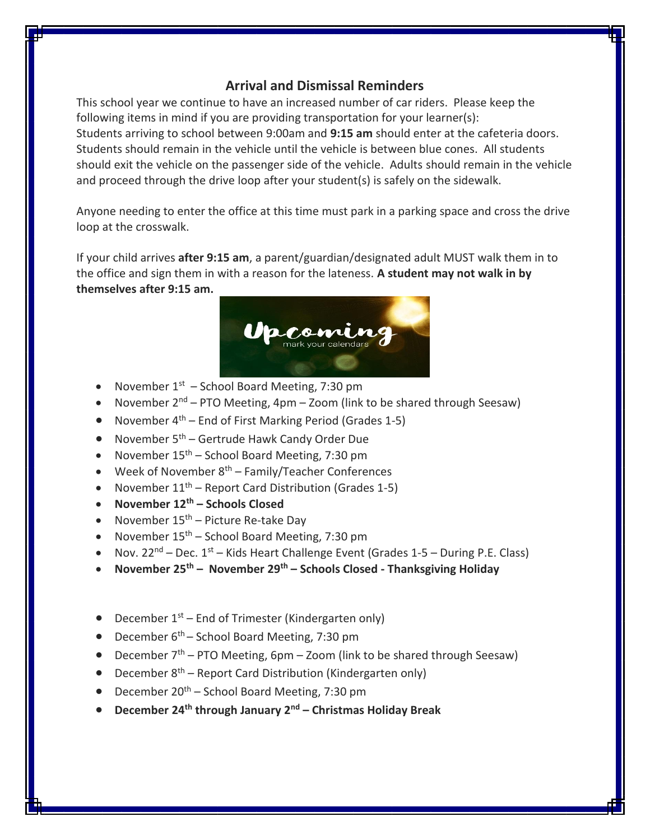## **Arrival and Dismissal Reminders**

This school year we continue to have an increased number of car riders. Please keep the following items in mind if you are providing transportation for your learner(s): Students arriving to school between 9:00am and **9:15 am** should enter at the cafeteria doors. Students should remain in the vehicle until the vehicle is between blue cones. All students should exit the vehicle on the passenger side of the vehicle. Adults should remain in the vehicle and proceed through the drive loop after your student(s) is safely on the sidewalk.

Anyone needing to enter the office at this time must park in a parking space and cross the drive loop at the crosswalk.

If your child arrives **after 9:15 am**, a parent/guardian/designated adult MUST walk them in to the office and sign them in with a reason for the lateness. **A student may not walk in by themselves after 9:15 am.**



- November  $1<sup>st</sup>$  School Board Meeting, 7:30 pm
- November  $2^{nd}$  PTO Meeting, 4pm Zoom (link to be shared through Seesaw)
- November  $4^{th}$  End of First Marking Period (Grades 1-5)
- November  $5<sup>th</sup>$  Gertrude Hawk Candy Order Due
- November  $15<sup>th</sup>$  School Board Meeting, 7:30 pm
- $\bullet$  Week of November  $8^{th}$  Family/Teacher Conferences
- November  $11^{th}$  Report Card Distribution (Grades 1-5)
- **November 12th – Schools Closed**
- November  $15<sup>th</sup>$  Picture Re-take Day
- November  $15<sup>th</sup>$  School Board Meeting, 7:30 pm
- Nov.  $22^{nd}$  Dec.  $1^{st}$  Kids Heart Challenge Event (Grades  $1$ -5 During P.E. Class)
- **November 25th – November 29th – Schools Closed - Thanksgiving Holiday**

#### • December  $1<sup>st</sup>$  – End of Trimester (Kindergarten only)

- $\bullet$  December 6<sup>th</sup> School Board Meeting, 7:30 pm
- December  $7<sup>th</sup>$  PTO Meeting, 6pm Zoom (link to be shared through Seesaw)
- $\bullet$  December 8<sup>th</sup> Report Card Distribution (Kindergarten only)
- $\bullet$  December 20<sup>th</sup> School Board Meeting, 7:30 pm
- **December 24th through January 2nd – Christmas Holiday Break**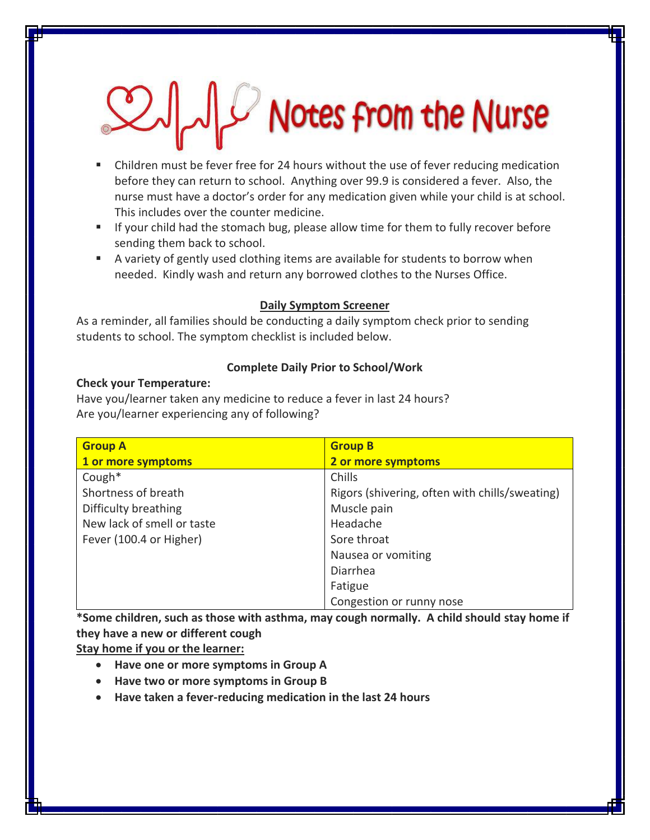# $\mathbb{Z}$  Notes from the Nurse

- Children must be fever free for 24 hours without the use of fever reducing medication before they can return to school. Anything over 99.9 is considered a fever. Also, the nurse must have a doctor's order for any medication given while your child is at school. This includes over the counter medicine.
- **If your child had the stomach bug, please allow time for them to fully recover before** sending them back to school.
- A variety of gently used clothing items are available for students to borrow when needed. Kindly wash and return any borrowed clothes to the Nurses Office.

#### **Daily Symptom Screener**

As a reminder, all families should be conducting a daily symptom check prior to sending students to school. The symptom checklist is included below.

#### **Complete Daily Prior to School/Work**

#### **Check your Temperature:**

Have you/learner taken any medicine to reduce a fever in last 24 hours? Are you/learner experiencing any of following?

| <b>Group A</b>             | <b>Group B</b>                                 |
|----------------------------|------------------------------------------------|
| 1 or more symptoms         | 2 or more symptoms                             |
| Cough $*$                  | Chills                                         |
| Shortness of breath        | Rigors (shivering, often with chills/sweating) |
| Difficulty breathing       | Muscle pain                                    |
| New lack of smell or taste | Headache                                       |
| Fever (100.4 or Higher)    | Sore throat                                    |
|                            | Nausea or vomiting                             |
|                            | Diarrhea                                       |
|                            | Fatigue                                        |
|                            | Congestion or runny nose                       |

**\*Some children, such as those with asthma, may cough normally. A child should stay home if they have a new or different cough**

**Stay home if you or the learner:**

- **Have one or more symptoms in Group A**
- **Have two or more symptoms in Group B**
- **Have taken a fever-reducing medication in the last 24 hours**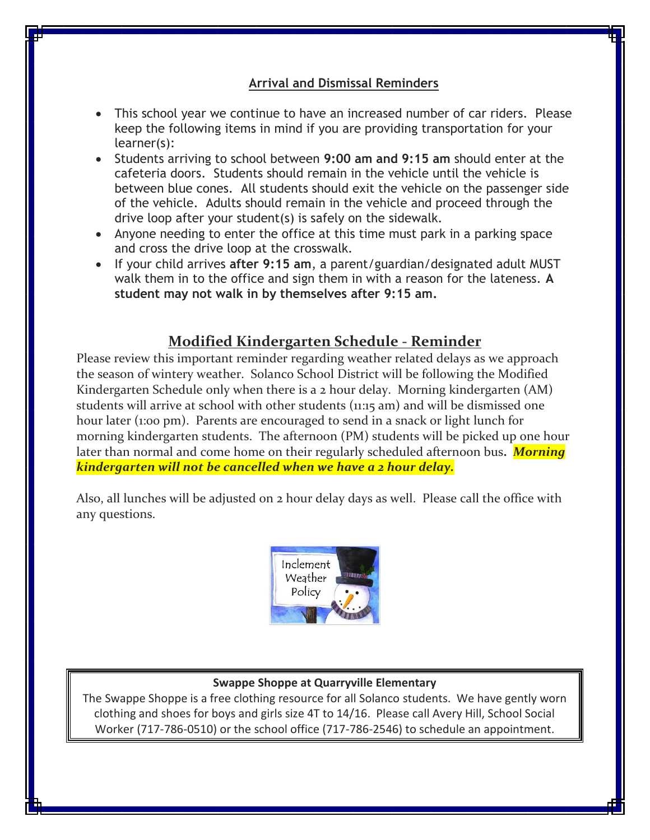## **Arrival and Dismissal Reminders**

- This school year we continue to have an increased number of car riders. Please keep the following items in mind if you are providing transportation for your learner(s):
- Students arriving to school between **9:00 am and 9:15 am** should enter at the cafeteria doors. Students should remain in the vehicle until the vehicle is between blue cones. All students should exit the vehicle on the passenger side of the vehicle. Adults should remain in the vehicle and proceed through the drive loop after your student(s) is safely on the sidewalk.
- Anyone needing to enter the office at this time must park in a parking space and cross the drive loop at the crosswalk.
- If your child arrives **after 9:15 am**, a parent/guardian/designated adult MUST walk them in to the office and sign them in with a reason for the lateness. **A student may not walk in by themselves after 9:15 am.**

# **Modified Kindergarten Schedule - Reminder**

Please review this important reminder regarding weather related delays as we approach the season of wintery weather. Solanco School District will be following the Modified Kindergarten Schedule only when there is a 2 hour delay. Morning kindergarten (AM) students will arrive at school with other students (11:15 am) and will be dismissed one hour later (1:00 pm). Parents are encouraged to send in a snack or light lunch for morning kindergarten students. The afternoon (PM) students will be picked up one hour later than normal and come home on their regularly scheduled afternoon bus**.** *Morning kindergarten will not be cancelled when we have a 2 hour delay.*

Also, all lunches will be adjusted on 2 hour delay days as well. Please call the office with any questions.



#### **Swappe Shoppe at Quarryville Elementary**

The Swappe Shoppe is a free clothing resource for all Solanco students. We have gently worn clothing and shoes for boys and girls size 4T to 14/16. Please call Avery Hill, School Social Worker (717-786-0510) or the school office (717-786-2546) to schedule an appointment.